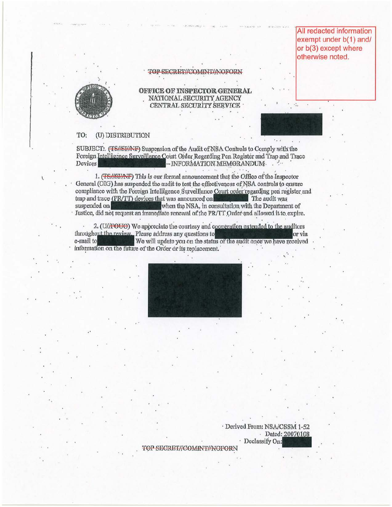All redacted information exempt under b(1) and/ or b(3) except where otherwise noted.



## TOP SECRET//COMINT//NOFORN

OFFICE OF INSPECTOR GENERAL NATIONAL SECURITY AGENCY CENTRAL SECURITY SERVICE

## (U) DISTRIBUTION TO:

SUBJECT: (TS//SI/AVF) Suspension of the Audit of NSA Controls to Comply with the Foreign Intelligence Surveillance Court Order Regarding Pen Register and Trap and Trace Devices -INFORMATION MEMORANDUM And

1. (TS//SI/AVF) This is our formal announcement that the Office of the Inspector General (OIG) has suspended the audit to test the effectiveness of NSA controls to ensure compliance with the Foreign Intelligence Surveillance Court order regarding pen register and trap and trace (PR/TT) devices that was announced on The audit was when the NSA, in consultation with the Department of suspended on Justice, did not request an immediate renewal of the PR/TT Order and allowed it to expire.

2. (U/FOUO) We appreciate the courtesy and cooneration extended to the auditors throughout the review. Please address any questions to or via e-mail to We will update you on the status of the audit once we have received information on the future of the Order or its replacement.



· Derived From: NSA/CSSM 1-52 Dated: 20070108 · Declassify On:

TOP SECRET//COMINT//NOFORN